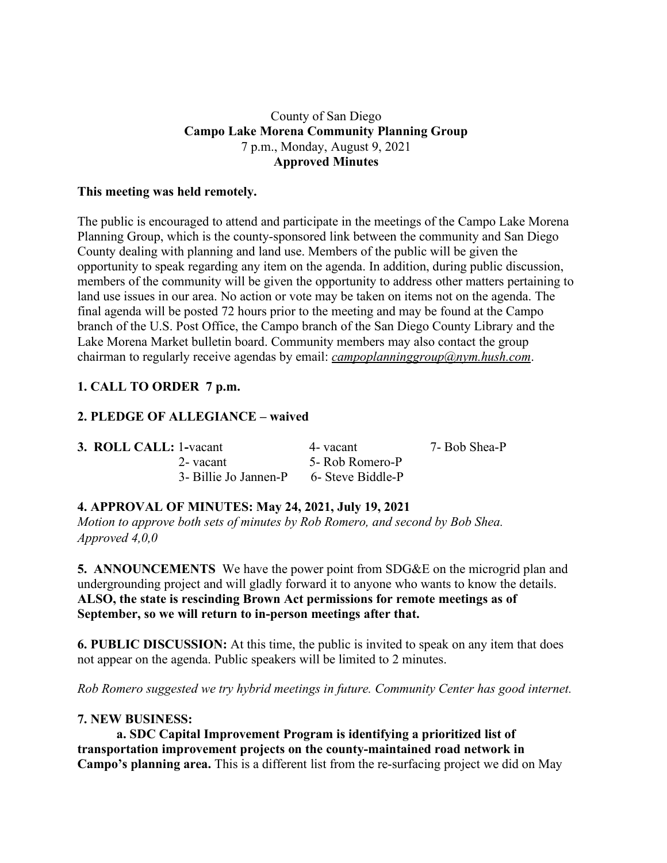#### County of San Diego **Campo Lake Morena Community Planning Group** 7 p.m., Monday, August 9, 2021 **Approved Minutes**

#### **This meeting was held remotely.**

The public is encouraged to attend and participate in the meetings of the Campo Lake Morena Planning Group, which is the county-sponsored link between the community and San Diego County dealing with planning and land use. Members of the public will be given the opportunity to speak regarding any item on the agenda. In addition, during public discussion, members of the community will be given the opportunity to address other matters pertaining to land use issues in our area. No action or vote may be taken on items not on the agenda. The final agenda will be posted 72 hours prior to the meeting and may be found at the Campo branch of the U.S. Post Office, the Campo branch of the San Diego County Library and the Lake Morena Market bulletin board. Community members may also contact the group chairman to regularly receive agendas by email: *campoplanninggroup@nym.hush.com*.

# **1. CALL TO ORDER 7 p.m.**

## **2. PLEDGE OF ALLEGIANCE – waived**

| <b>3. ROLL CALL: 1-vacant</b>           | 4- vacant       | 7- Bob Shea-P |
|-----------------------------------------|-----------------|---------------|
| 2-vacant                                | 5- Rob Romero-P |               |
| 3- Billie Jo Jannen-P 6- Steve Biddle-P |                 |               |

### **4. APPROVAL OF MINUTES: May 24, 2021, July 19, 2021**

*Motion to approve both sets of minutes by Rob Romero, and second by Bob Shea. Approved 4,0,0*

**5. ANNOUNCEMENTS** We have the power point from SDG&E on the microgrid plan and undergrounding project and will gladly forward it to anyone who wants to know the details. **ALSO, the state is rescinding Brown Act permissions for remote meetings as of September, so we will return to in-person meetings after that.**

**6. PUBLIC DISCUSSION:** At this time, the public is invited to speak on any item that does not appear on the agenda. Public speakers will be limited to 2 minutes.

*Rob Romero suggested we try hybrid meetings in future. Community Center has good internet.*

### **7. NEW BUSINESS:**

**a. SDC Capital Improvement Program is identifying a prioritized list of transportation improvement projects on the county-maintained road network in Campo's planning area.** This is a different list from the re-surfacing project we did on May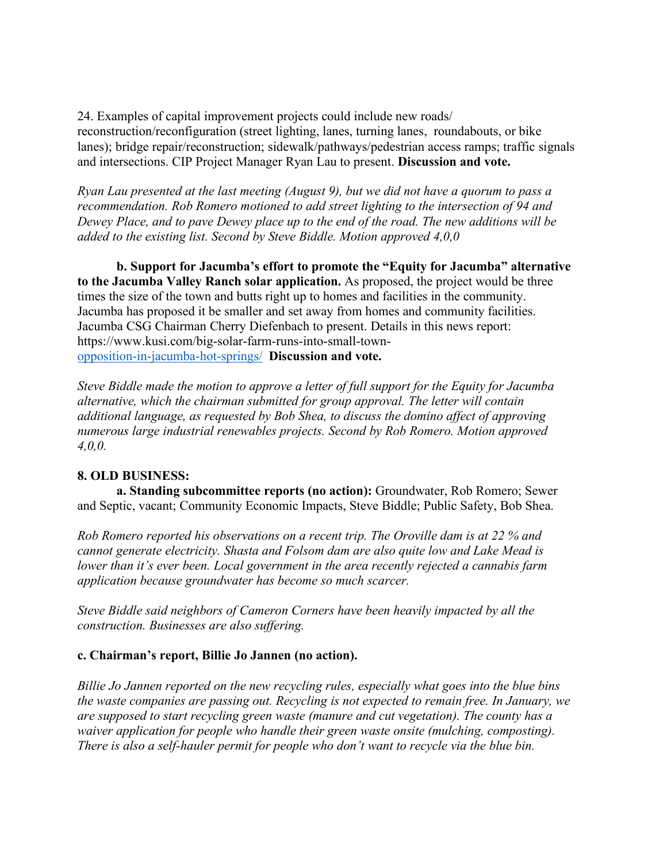24. Examples of capital improvement projects could include new roads/ reconstruction/reconfiguration (street lighting, lanes, turning lanes, roundabouts, or bike lanes); bridge repair/reconstruction; sidewalk/pathways/pedestrian access ramps; traffic signals and intersections. CIP Project Manager Ryan Lau to present. **Discussion and vote.**

*Ryan Lau presented at the last meeting (August 9), but we did not have a quorum to pass a recommendation. Rob Romero motioned to add street lighting to the intersection of 94 and Dewey Place, and to pave Dewey place up to the end of the road. The new additions will be added to the existing list. Second by Steve Biddle. Motion approved 4,0,0*

**b. Support for Jacumba's effort to promote the "Equity for Jacumba" alternative to the Jacumba Valley Ranch solar application.** As proposed, the project would be three times the size of the town and butts right up to homes and facilities in the community. Jacumba has proposed it be smaller and set away from homes and community facilities. Jacumba CSG Chairman Cherry Diefenbach to present. Details in this news report: https://www.kusi.com/big-solar-farm-runs-into-small-townopposition-in-jacumba-hot-springs/ **Discussion and vote.**

*Steve Biddle made the motion to approve a letter of full support for the Equity for Jacumba alternative, which the chairman submitted for group approval. The letter will contain additional language, as requested by Bob Shea, to discuss the domino affect of approving numerous large industrial renewables projects. Second by Rob Romero. Motion approved 4,0,0.*

### **8. OLD BUSINESS:**

**a. Standing subcommittee reports (no action):** Groundwater, Rob Romero; Sewer and Septic, vacant; Community Economic Impacts, Steve Biddle; Public Safety, Bob Shea.

*Rob Romero reported his observations on a recent trip. The Oroville dam is at 22 % and cannot generate electricity. Shasta and Folsom dam are also quite low and Lake Mead is lower than it's ever been. Local government in the area recently rejected a cannabis farm application because groundwater has become so much scarcer.*

*Steve Biddle said neighbors of Cameron Corners have been heavily impacted by all the construction. Businesses are also suffering.*

### **c. Chairman's report, Billie Jo Jannen (no action).**

*Billie Jo Jannen reported on the new recycling rules, especially what goes into the blue bins the waste companies are passing out. Recycling is not expected to remain free. In January, we are supposed to start recycling green waste (manure and cut vegetation). The county has a waiver application for people who handle their green waste onsite (mulching, composting). There is also a self-hauler permit for people who don't want to recycle via the blue bin.*